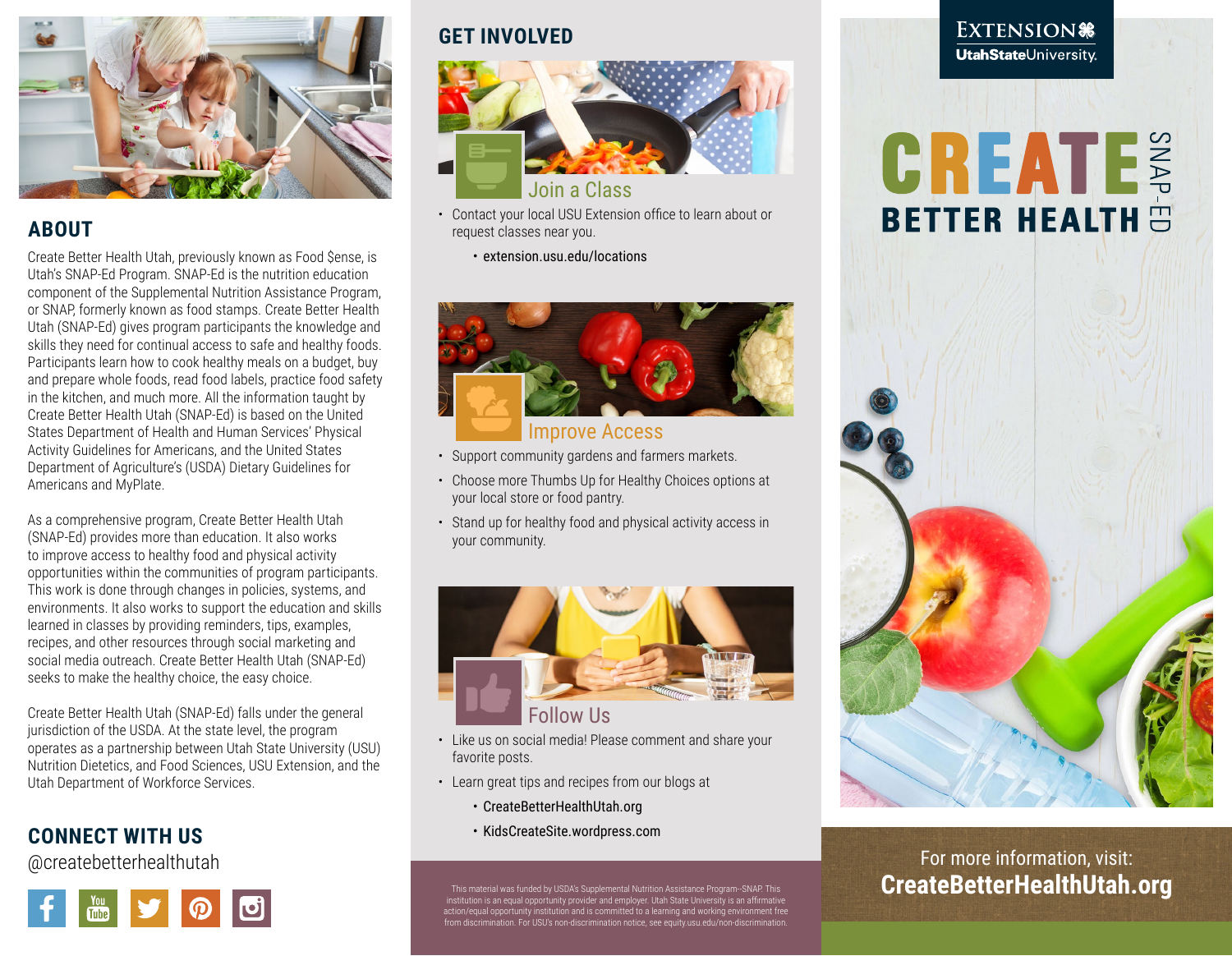

## **ABOUT**

Create Better Health Utah, previously known as Food \$ense, is Utah's SNAP-Ed Program. SNAP-Ed is the nutrition education component of the Supplemental Nutrition Assistance Program, or SNAP, formerly known as food stamps. Create Better Health Utah (SNAP-Ed) gives program participants the knowledge and skills they need for continual access to safe and healthy foods. Participants learn how to cook healthy meals on a budget, buy and prepare whole foods, read food labels, practice food safety in the kitchen, and much more. All the information taught by Create Better Health Utah (SNAP-Ed) is based on the United States Department of Health and Human Services' Physical Activity Guidelines for Americans, and the United States Department of Agriculture's (USDA) Dietary Guidelines for Americans and MyPlate.

As a comprehensive program, Create Better Health Utah (SNAP-Ed) provides more than education. It also works to improve access to healthy food and physical activity opportunities within the communities of program participants. This work is done through changes in policies, systems, and environments. It also works to support the education and skills learned in classes by providing reminders, tips, examples, recipes, and other resources through social marketing and social media outreach. Create Better Health Utah (SNAP-Ed) seeks to make the healthy choice, the easy choice.

Create Better Health Utah (SNAP-Ed) falls under the general jurisdiction of the USDA. At the state level, the program operates as a partnership between Utah State University (USU) Nutrition Dietetics, and Food Sciences, USU Extension, and the Utah Department of Workforce Services.

## **CONNECT WITH US**

@createbetterhealthutah



## **GET INVOLVED**



- Contact your local USU Extension office to learn about or request classes near you.
	- extension.usu.edu/locations



### Improve Access

- Support community gardens and farmers markets.
- Choose more Thumbs Up for Healthy Choices options at your local store or food pantry.
- Stand up for healthy food and physical activity access in your community.



- Like us on social media! Please comment and share your favorite posts.
- Learn great tips and recipes from our blogs at
	- CreateBetterHealthUtah.org
	- KidsCreateSite.wordpress.com

This material was funded by USDA's Supplemental Nutrition Assistance Program--SNAP. This institution is an equal opportunity provider and employer. Utah State University is an affirmative action/equal opportunity institution and is committed to a learning and working environment free from discrimination. For USU's non-discrimination notice, see equity.usu.edu/non-discrimination.

#### EXTENSION® **UtahState**University

# **CREATE**



## For more information, visit: **CreateBetterHealthUtah.org**